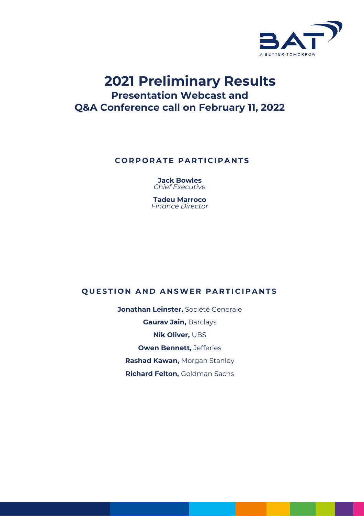

# **2021 Preliminary Results Presentation Webcast and Q&A Conference call on February 11, 2022**

# **CORPORATE PARTICIPANTS**

**Jack Bowles** *Chief Executive* 

**Tadeu Marroco** *Finance Director*

# **QUESTION AND ANSWER PARTICIPANTS**

**Jonathan Leinster,** Société Generale **Gaurav Jain,** Barclays **Nik Oliver,** UBS **Owen Bennett,** Jefferies **Rashad Kawan,** Morgan Stanley **Richard Felton,** Goldman Sachs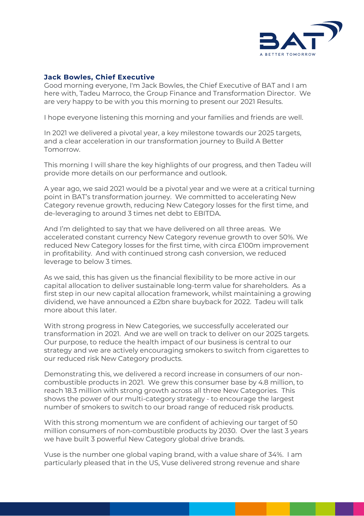

### **Jack Bowles, Chief Executive**

Good morning everyone, I'm Jack Bowles, the Chief Executive of BAT and I am here with, Tadeu Marroco, the Group Finance and Transformation Director. We are very happy to be with you this morning to present our 2021 Results.

I hope everyone listening this morning and your families and friends are well.

In 2021 we delivered a pivotal year, a key milestone towards our 2025 targets, and a clear acceleration in our transformation journey to Build A Better Tomorrow.

This morning I will share the key highlights of our progress, and then Tadeu will provide more details on our performance and outlook.

A year ago, we said 2021 would be a pivotal year and we were at a critical turning point in BAT's transformation journey. We committed to accelerating New Category revenue growth, reducing New Category losses for the first time, and de-leveraging to around 3 times net debt to EBITDA.

And I'm delighted to say that we have delivered on all three areas. We accelerated constant currency New Category revenue growth to over 50%. We reduced New Category losses for the first time, with circa £100m improvement in profitability. And with continued strong cash conversion, we reduced leverage to below 3 times.

As we said, this has given us the financial flexibility to be more active in our capital allocation to deliver sustainable long-term value for shareholders. As a first step in our new capital allocation framework, whilst maintaining a growing dividend, we have announced a £2bn share buyback for 2022. Tadeu will talk more about this later.

With strong progress in New Categories, we successfully accelerated our transformation in 2021. And we are well on track to deliver on our 2025 targets. Our purpose, to reduce the health impact of our business is central to our strategy and we are actively encouraging smokers to switch from cigarettes to our reduced risk New Category products.

Demonstrating this, we delivered a record increase in consumers of our noncombustible products in 2021. We grew this consumer base by 4.8 million, to reach 18.3 million with strong growth across all three New Categories. This shows the power of our multi-category strategy - to encourage the largest number of smokers to switch to our broad range of reduced risk products.

With this strong momentum we are confident of achieving our target of 50 million consumers of non-combustible products by 2030. Over the last 3 years we have built 3 powerful New Category global drive brands.

Vuse is the number one global vaping brand, with a value share of 34%. I am particularly pleased that in the US, Vuse delivered strong revenue and share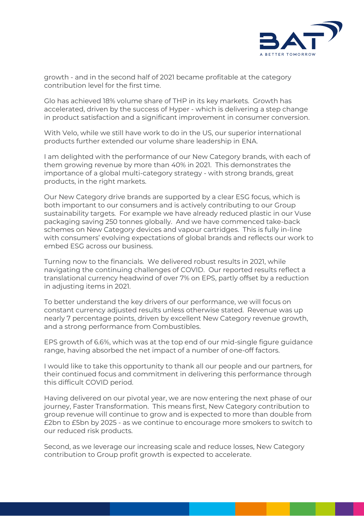

growth - and in the second half of 2021 became profitable at the category contribution level for the first time.

Glo has achieved 18% volume share of THP in its key markets. Growth has accelerated, driven by the success of Hyper - which is delivering a step change in product satisfaction and a significant improvement in consumer conversion.

With Velo, while we still have work to do in the US, our superior international products further extended our volume share leadership in ENA.

I am delighted with the performance of our New Category brands, with each of them growing revenue by more than 40% in 2021. This demonstrates the importance of a global multi-category strategy - with strong brands, great products, in the right markets.

Our New Category drive brands are supported by a clear ESG focus, which is both important to our consumers and is actively contributing to our Group sustainability targets. For example we have already reduced plastic in our Vuse packaging saving 250 tonnes globally. And we have commenced take-back schemes on New Category devices and vapour cartridges. This is fully in-line with consumers' evolving expectations of global brands and reflects our work to embed ESG across our business.

Turning now to the financials. We delivered robust results in 2021, while navigating the continuing challenges of COVID. Our reported results reflect a translational currency headwind of over 7% on EPS, partly offset by a reduction in adjusting items in 2021.

To better understand the key drivers of our performance, we will focus on constant currency adjusted results unless otherwise stated. Revenue was up nearly 7 percentage points, driven by excellent New Category revenue growth, and a strong performance from Combustibles.

EPS growth of 6.6%, which was at the top end of our mid-single figure guidance range, having absorbed the net impact of a number of one-off factors.

I would like to take this opportunity to thank all our people and our partners, for their continued focus and commitment in delivering this performance through this difficult COVID period.

Having delivered on our pivotal year, we are now entering the next phase of our journey, Faster Transformation. This means first, New Category contribution to group revenue will continue to grow and is expected to more than double from £2bn to £5bn by 2025 - as we continue to encourage more smokers to switch to our reduced risk products.

Second, as we leverage our increasing scale and reduce losses, New Category contribution to Group profit growth is expected to accelerate.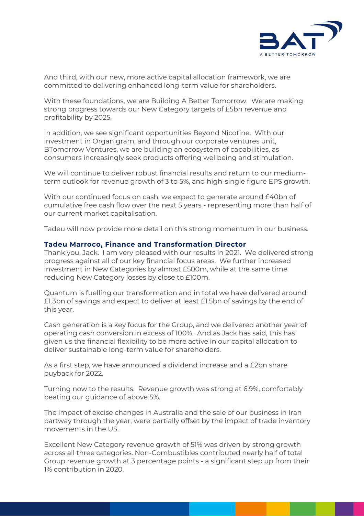

And third, with our new, more active capital allocation framework, we are committed to delivering enhanced long-term value for shareholders.

With these foundations, we are Building A Better Tomorrow. We are making strong progress towards our New Category targets of £5bn revenue and profitability by 2025.

In addition, we see significant opportunities Beyond Nicotine. With our investment in Organigram, and through our corporate ventures unit, BTomorrow Ventures, we are building an ecosystem of capabilities, as consumers increasingly seek products offering wellbeing and stimulation.

We will continue to deliver robust financial results and return to our mediumterm outlook for revenue growth of 3 to 5%, and high-single figure EPS growth.

With our continued focus on cash, we expect to generate around £40bn of cumulative free cash flow over the next 5 years - representing more than half of our current market capitalisation.

Tadeu will now provide more detail on this strong momentum in our business.

#### **Tadeu Marroco, Finance and Transformation Director**

Thank you, Jack. I am very pleased with our results in 2021. We delivered strong progress against all of our key financial focus areas. We further increased investment in New Categories by almost £500m, while at the same time reducing New Category losses by close to £100m.

Quantum is fuelling our transformation and in total we have delivered around £1.3bn of savings and expect to deliver at least £1.5bn of savings by the end of this year.

Cash generation is a key focus for the Group, and we delivered another year of operating cash conversion in excess of 100%. And as Jack has said, this has given us the financial flexibility to be more active in our capital allocation to deliver sustainable long-term value for shareholders.

As a first step, we have announced a dividend increase and a £2bn share buyback for 2022.

Turning now to the results. Revenue growth was strong at 6.9%, comfortably beating our guidance of above 5%.

The impact of excise changes in Australia and the sale of our business in Iran partway through the year, were partially offset by the impact of trade inventory movements in the US.

Excellent New Category revenue growth of 51% was driven by strong growth across all three categories. Non-Combustibles contributed nearly half of total Group revenue growth at 3 percentage points - a significant step up from their 1% contribution in 2020.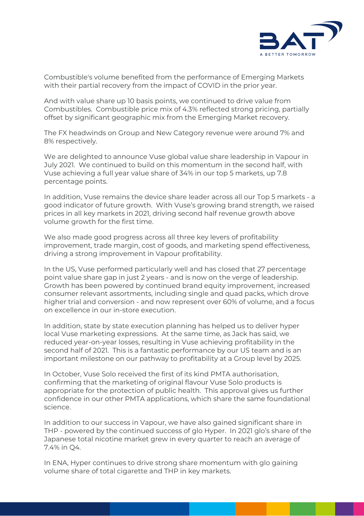

Combustible's volume benefited from the performance of Emerging Markets with their partial recovery from the impact of COVID in the prior year.

And with value share up 10 basis points, we continued to drive value from Combustibles. Combustible price mix of 4.3% reflected strong pricing, partially offset by significant geographic mix from the Emerging Market recovery.

The FX headwinds on Group and New Category revenue were around 7% and 8% respectively.

We are delighted to announce Vuse global value share leadership in Vapour in July 2021. We continued to build on this momentum in the second half, with Vuse achieving a full year value share of 34% in our top 5 markets, up 7.8 percentage points.

In addition, Vuse remains the device share leader across all our Top 5 markets - a good indicator of future growth. With Vuse's growing brand strength, we raised prices in all key markets in 2021, driving second half revenue growth above volume growth for the first time.

We also made good progress across all three key levers of profitability improvement, trade margin, cost of goods, and marketing spend effectiveness, driving a strong improvement in Vapour profitability.

In the US, Vuse performed particularly well and has closed that 27 percentage point value share gap in just 2 years - and is now on the verge of leadership. Growth has been powered by continued brand equity improvement, increased consumer relevant assortments, including single and quad packs, which drove higher trial and conversion - and now represent over 60% of volume, and a focus on excellence in our in-store execution.

In addition, state by state execution planning has helped us to deliver hyper local Vuse marketing expressions. At the same time, as Jack has said, we reduced year-on-year losses, resulting in Vuse achieving profitability in the second half of 2021. This is a fantastic performance by our US team and is an important milestone on our pathway to profitability at a Group level by 2025.

In October, Vuse Solo received the first of its kind PMTA authorisation, confirming that the marketing of original flavour Vuse Solo products is appropriate for the protection of public health. This approval gives us further confidence in our other PMTA applications, which share the same foundational science.

In addition to our success in Vapour, we have also gained significant share in THP - powered by the continued success of glo Hyper. In 2021 glo's share of the Japanese total nicotine market grew in every quarter to reach an average of 7.4% in Q4.

In ENA, Hyper continues to drive strong share momentum with glo gaining volume share of total cigarette and THP in key markets.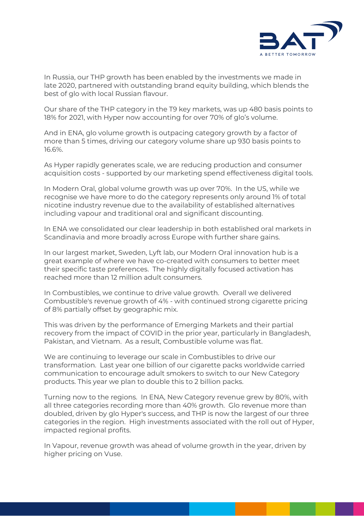

In Russia, our THP growth has been enabled by the investments we made in late 2020, partnered with outstanding brand equity building, which blends the best of glo with local Russian flavour.

Our share of the THP category in the T9 key markets, was up 480 basis points to 18% for 2021, with Hyper now accounting for over 70% of glo's volume.

And in ENA, glo volume growth is outpacing category growth by a factor of more than 5 times, driving our category volume share up 930 basis points to 16.6%.

As Hyper rapidly generates scale, we are reducing production and consumer acquisition costs - supported by our marketing spend effectiveness digital tools.

In Modern Oral, global volume growth was up over 70%. In the US, while we recognise we have more to do the category represents only around 1% of total nicotine industry revenue due to the availability of established alternatives including vapour and traditional oral and significant discounting.

In ENA we consolidated our clear leadership in both established oral markets in Scandinavia and more broadly across Europe with further share gains.

In our largest market, Sweden, Lyft lab, our Modern Oral innovation hub is a great example of where we have co-created with consumers to better meet their specific taste preferences. The highly digitally focused activation has reached more than 12 million adult consumers.

In Combustibles, we continue to drive value growth. Overall we delivered Combustible's revenue growth of 4% - with continued strong cigarette pricing of 8% partially offset by geographic mix.

This was driven by the performance of Emerging Markets and their partial recovery from the impact of COVID in the prior year, particularly in Bangladesh, Pakistan, and Vietnam. As a result, Combustible volume was flat.

We are continuing to leverage our scale in Combustibles to drive our transformation. Last year one billion of our cigarette packs worldwide carried communication to encourage adult smokers to switch to our New Category products. This year we plan to double this to 2 billion packs.

Turning now to the regions. In ENA, New Category revenue grew by 80%, with all three categories recording more than 40% growth. Glo revenue more than doubled, driven by glo Hyper's success, and THP is now the largest of our three categories in the region. High investments associated with the roll out of Hyper, impacted regional profits.

In Vapour, revenue growth was ahead of volume growth in the year, driven by higher pricing on Vuse.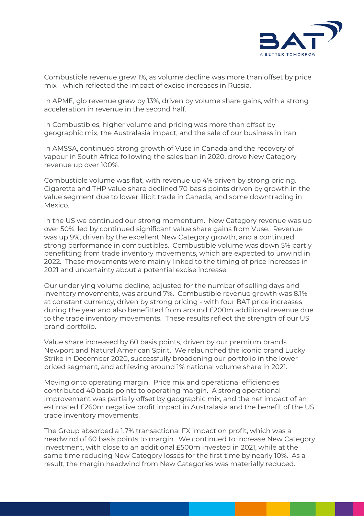

Combustible revenue grew 1%, as volume decline was more than offset by price mix - which reflected the impact of excise increases in Russia.

In APME, glo revenue grew by 13%, driven by volume share gains, with a strong acceleration in revenue in the second half.

In Combustibles, higher volume and pricing was more than offset by geographic mix, the Australasia impact, and the sale of our business in Iran.

In AMSSA, continued strong growth of Vuse in Canada and the recovery of vapour in South Africa following the sales ban in 2020, drove New Category revenue up over 100%.

Combustible volume was flat, with revenue up 4% driven by strong pricing. Cigarette and THP value share declined 70 basis points driven by growth in the value segment due to lower illicit trade in Canada, and some downtrading in Mexico.

In the US we continued our strong momentum. New Category revenue was up over 50%, led by continued significant value share gains from Vuse. Revenue was up 9%, driven by the excellent New Category growth, and a continued strong performance in combustibles. Combustible volume was down 5% partly benefitting from trade inventory movements, which are expected to unwind in 2022. These movements were mainly linked to the timing of price increases in 2021 and uncertainty about a potential excise increase.

Our underlying volume decline, adjusted for the number of selling days and inventory movements, was around 7%. Combustible revenue growth was 8.1% at constant currency, driven by strong pricing - with four BAT price increases during the year and also benefitted from around £200m additional revenue due to the trade inventory movements. These results reflect the strength of our US brand portfolio.

Value share increased by 60 basis points, driven by our premium brands Newport and Natural American Spirit. We relaunched the iconic brand Lucky Strike in December 2020, successfully broadening our portfolio in the lower priced segment, and achieving around 1% national volume share in 2021.

Moving onto operating margin. Price mix and operational efficiencies contributed 40 basis points to operating margin. A strong operational improvement was partially offset by geographic mix, and the net impact of an estimated £260m negative profit impact in Australasia and the benefit of the US trade inventory movements.

The Group absorbed a 1.7% transactional FX impact on profit, which was a headwind of 60 basis points to margin. We continued to increase New Category investment, with close to an additional £500m invested in 2021, while at the same time reducing New Category losses for the first time by nearly 10%. As a result, the margin headwind from New Categories was materially reduced.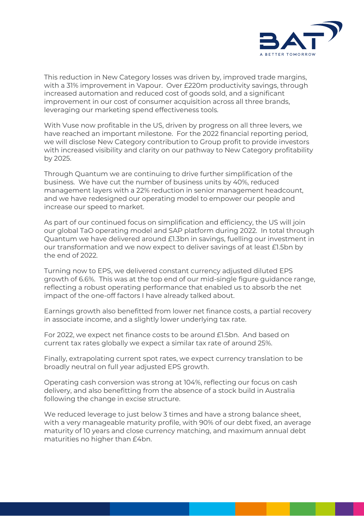

This reduction in New Category losses was driven by, improved trade margins, with a 31% improvement in Vapour. Over £220m productivity savings, through increased automation and reduced cost of goods sold, and a significant improvement in our cost of consumer acquisition across all three brands, leveraging our marketing spend effectiveness tools.

With Vuse now profitable in the US, driven by progress on all three levers, we have reached an important milestone. For the 2022 financial reporting period, we will disclose New Category contribution to Group profit to provide investors with increased visibility and clarity on our pathway to New Category profitability by 2025.

Through Quantum we are continuing to drive further simplification of the business. We have cut the number of business units by 40%, reduced management layers with a 22% reduction in senior management headcount, and we have redesigned our operating model to empower our people and increase our speed to market.

As part of our continued focus on simplification and efficiency, the US will join our global TaO operating model and SAP platform during 2022. In total through Quantum we have delivered around £1.3bn in savings, fuelling our investment in our transformation and we now expect to deliver savings of at least £1.5bn by the end of 2022.

Turning now to EPS, we delivered constant currency adjusted diluted EPS growth of 6.6%. This was at the top end of our mid-single figure guidance range, reflecting a robust operating performance that enabled us to absorb the net impact of the one-off factors I have already talked about.

Earnings growth also benefitted from lower net finance costs, a partial recovery in associate income, and a slightly lower underlying tax rate.

For 2022, we expect net finance costs to be around £1.5bn. And based on current tax rates globally we expect a similar tax rate of around 25%.

Finally, extrapolating current spot rates, we expect currency translation to be broadly neutral on full year adjusted EPS growth.

Operating cash conversion was strong at 104%, reflecting our focus on cash delivery, and also benefitting from the absence of a stock build in Australia following the change in excise structure.

We reduced leverage to just below 3 times and have a strong balance sheet, with a very manageable maturity profile, with 90% of our debt fixed, an average maturity of 10 years and close currency matching, and maximum annual debt maturities no higher than £4bn.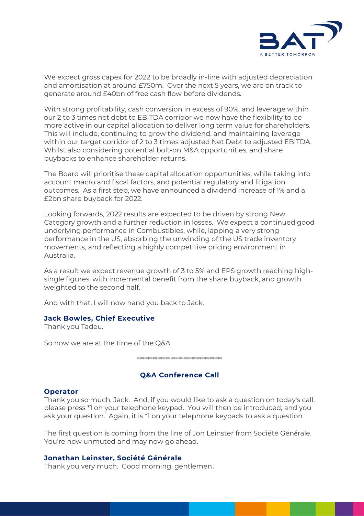

We expect gross capex for 2022 to be broadly in-line with adjusted depreciation and amortisation at around £750m. Over the next 5 years, we are on track to generate around £40bn of free cash flow before dividends.

With strong profitability, cash conversion in excess of 90%, and leverage within our 2 to 3 times net debt to EBITDA corridor we now have the flexibility to be more active in our capital allocation to deliver long term value for shareholders. This will include, continuing to grow the dividend, and maintaining leverage within our target corridor of 2 to 3 times adjusted Net Debt to adjusted EBITDA. Whilst also considering potential bolt-on M&A opportunities, and share buybacks to enhance shareholder returns.

The Board will prioritise these capital allocation opportunities, while taking into account macro and fiscal factors, and potential regulatory and litigation outcomes. As a first step, we have announced a dividend increase of 1% and a £2bn share buyback for 2022.

Looking forwards, 2022 results are expected to be driven by strong New Category growth and a further reduction in losses. We expect a continued good underlying performance in Combustibles, while, lapping a very strong performance in the US, absorbing the unwinding of the US trade inventory movements, and reflecting a highly competitive pricing environment in Australia.

As a result we expect revenue growth of 3 to 5% and EPS growth reaching highsingle figures, with incremental benefit from the share buyback, and growth weighted to the second half.

And with that, I will now hand you back to Jack.

#### **Jack Bowles, Chief Executive**

Thank you Tadeu.

So now we are at the time of the Q&A

\*\*\*\*\*\*\*\*\*\*\*\*\*\*\*\*\*\*\*\*\*\*\*\*\*\*\*\*\*\*\*\*\*

# **Q&A Conference Call**

#### **Operator**

Thank you so much, Jack. And, if you would like to ask a question on today's call, please press \*1 on your telephone keypad. You will then be introduced, and you ask your question. Again, it is \*1 on your telephone keypads to ask a question.

The first question is coming from the line of Jon Leinster from Société Générale. You're now unmuted and may now go ahead.

#### **Jonathan Leinster, Société Générale**

Thank you very much. Good morning, gentlemen.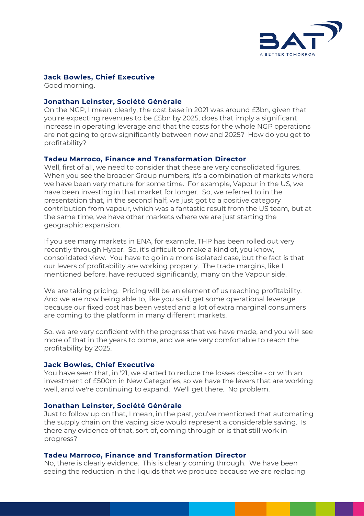

## **Jack Bowles, Chief Executive**

Good morning.

### **Jonathan Leinster, Société Générale**

On the NGP, I mean, clearly, the cost base in 2021 was around £3bn, given that you're expecting revenues to be £5bn by 2025, does that imply a significant increase in operating leverage and that the costs for the whole NGP operations are not going to grow significantly between now and 2025? How do you get to profitability?

## **Tadeu Marroco, Finance and Transformation Director**

Well, first of all, we need to consider that these are very consolidated figures. When you see the broader Group numbers, it's a combination of markets where we have been very mature for some time. For example, Vapour in the US, we have been investing in that market for longer. So, we referred to in the presentation that, in the second half, we just got to a positive category contribution from vapour, which was a fantastic result from the US team, but at the same time, we have other markets where we are just starting the geographic expansion.

If you see many markets in ENA, for example, THP has been rolled out very recently through Hyper. So, it's difficult to make a kind of, you know, consolidated view. You have to go in a more isolated case, but the fact is that our levers of profitability are working properly. The trade margins, like I mentioned before, have reduced significantly, many on the Vapour side.

We are taking pricing. Pricing will be an element of us reaching profitability. And we are now being able to, like you said, get some operational leverage because our fixed cost has been vested and a lot of extra marginal consumers are coming to the platform in many different markets.

So, we are very confident with the progress that we have made, and you will see more of that in the years to come, and we are very comfortable to reach the profitability by 2025.

#### **Jack Bowles, Chief Executive**

You have seen that, in '21, we started to reduce the losses despite - or with an investment of £500m in New Categories, so we have the levers that are working well, and we're continuing to expand. We'll get there. No problem.

#### **Jonathan Leinster, Société Générale**

Just to follow up on that, I mean, in the past, you've mentioned that automating the supply chain on the vaping side would represent a considerable saving. Is there any evidence of that, sort of, coming through or is that still work in progress?

#### **Tadeu Marroco, Finance and Transformation Director**

No, there is clearly evidence. This is clearly coming through. We have been seeing the reduction in the liquids that we produce because we are replacing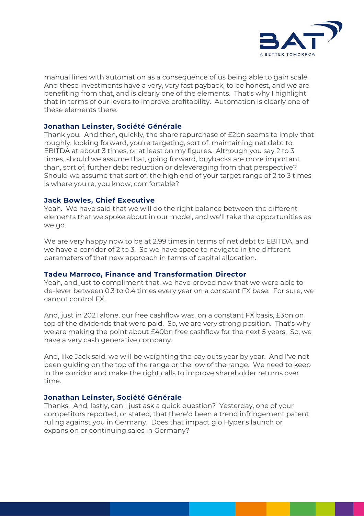

manual lines with automation as a consequence of us being able to gain scale. And these investments have a very, very fast payback, to be honest, and we are benefiting from that, and is clearly one of the elements. That's why I highlight that in terms of our levers to improve profitability. Automation is clearly one of these elements there.

#### **Jonathan Leinster, Société Générale**

Thank you. And then, quickly, the share repurchase of £2bn seems to imply that roughly, looking forward, you're targeting, sort of, maintaining net debt to EBITDA at about 3 times, or at least on my figures. Although you say 2 to 3 times, should we assume that, going forward, buybacks are more important than, sort of, further debt reduction or deleveraging from that perspective? Should we assume that sort of, the high end of your target range of 2 to 3 times is where you're, you know, comfortable?

## **Jack Bowles, Chief Executive**

Yeah. We have said that we will do the right balance between the different elements that we spoke about in our model, and we'll take the opportunities as we go.

We are very happy now to be at 2.99 times in terms of net debt to EBITDA, and we have a corridor of 2 to 3. So we have space to navigate in the different parameters of that new approach in terms of capital allocation.

# **Tadeu Marroco, Finance and Transformation Director**

Yeah, and just to compliment that, we have proved now that we were able to de-lever between 0.3 to 0.4 times every year on a constant FX base. For sure, we cannot control FX.

And, just in 2021 alone, our free cashflow was, on a constant FX basis, £3bn on top of the dividends that were paid. So, we are very strong position. That's why we are making the point about £40bn free cashflow for the next 5 years. So, we have a very cash generative company.

And, like Jack said, we will be weighting the pay outs year by year. And I've not been guiding on the top of the range or the low of the range. We need to keep in the corridor and make the right calls to improve shareholder returns over time.

# **Jonathan Leinster, Société Générale**

Thanks. And, lastly, can I just ask a quick question? Yesterday, one of your competitors reported, or stated, that there'd been a trend infringement patent ruling against you in Germany. Does that impact glo Hyper's launch or expansion or continuing sales in Germany?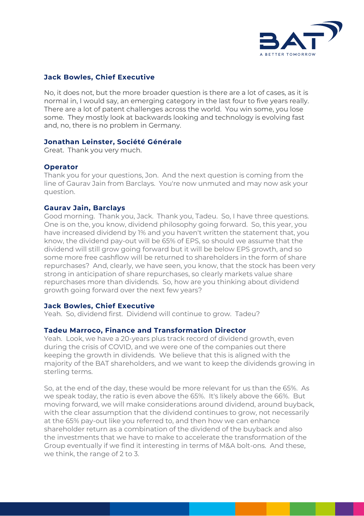

# **Jack Bowles, Chief Executive**

No, it does not, but the more broader question is there are a lot of cases, as it is normal in, I would say, an emerging category in the last four to five years really. There are a lot of patent challenges across the world. You win some, you lose some. They mostly look at backwards looking and technology is evolving fast and, no, there is no problem in Germany.

# **Jonathan Leinster, Société Générale**

Great. Thank you very much.

## **Operator**

Thank you for your questions, Jon. And the next question is coming from the line of Gaurav Jain from Barclays. You're now unmuted and may now ask your question.

#### **Gaurav Jain, Barclays**

Good morning. Thank you, Jack. Thank you, Tadeu. So, I have three questions. One is on the, you know, dividend philosophy going forward. So, this year, you have increased dividend by 1% and you haven't written the statement that, you know, the dividend pay-out will be 65% of EPS, so should we assume that the dividend will still grow going forward but it will be below EPS growth, and so some more free cashflow will be returned to shareholders in the form of share repurchases? And, clearly, we have seen, you know, that the stock has been very strong in anticipation of share repurchases, so clearly markets value share repurchases more than dividends. So, how are you thinking about dividend growth going forward over the next few years?

# **Jack Bowles, Chief Executive**

Yeah. So, dividend first. Dividend will continue to grow. Tadeu?

#### **Tadeu Marroco, Finance and Transformation Director**

Yeah. Look, we have a 20-years plus track record of dividend growth, even during the crisis of COVID, and we were one of the companies out there keeping the growth in dividends. We believe that this is aligned with the majority of the BAT shareholders, and we want to keep the dividends growing in sterling terms.

So, at the end of the day, these would be more relevant for us than the 65%. As we speak today, the ratio is even above the 65%. It's likely above the 66%. But moving forward, we will make considerations around dividend, around buyback, with the clear assumption that the dividend continues to grow, not necessarily at the 65% pay-out like you referred to, and then how we can enhance shareholder return as a combination of the dividend of the buyback and also the investments that we have to make to accelerate the transformation of the Group eventually if we find it interesting in terms of M&A bolt-ons. And these, we think, the range of 2 to 3.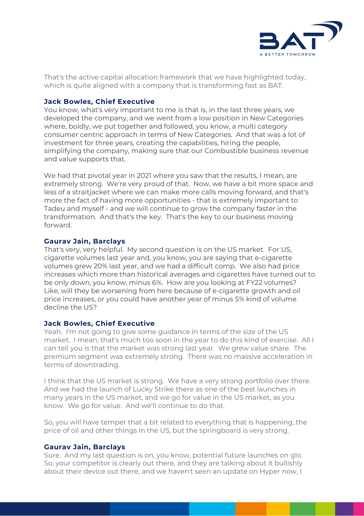

That's the active capital allocation framework that we have highlighted today, which is quite aligned with a company that is transforming fast as BAT.

## **Jack Bowles, Chief Executive**

You know, what's very important to me is that is, in the last three years, we developed the company, and we went from a low position in New Categories where, boldly, we put together and followed, you know, a multi category consumer centric approach in terms of New Categories. And that was a lot of investment for three years, creating the capabilities, hiring the people, simplifying the company, making sure that our Combustible business revenue and value supports that.

We had that pivotal year in 2021 where you saw that the results, I mean, are extremely strong. We're very proud of that. Now, we have a bit more space and less of a straitjacket where we can make more calls moving forward, and that's more the fact of having more opportunities - that is extremely important to Tadeu and myself - and we will continue to grow the company faster in the transformation. And that's the key. That's the key to our business moving forward.

## **Gaurav Jain, Barclays**

That's very, very helpful. My second question is on the US market. For US, cigarette volumes last year and, you know, you are saying that e-cigarette volumes grew 20% last year, and we had a difficult comp. We also had price increases which more than historical averages and cigarettes have turned out to be only down, you know, minus 6%. How are you looking at FY22 volumes? Like, will they be worsening from here because of e-cigarette growth and oil price increases, or you could have another year of minus 5% kind of volume decline the US?

# **Jack Bowles, Chief Executive**

Yeah. I'm not going to give some guidance in terms of the size of the US market. I mean, that's much too soon in the year to do this kind of exercise. All I can tell you is that the market was strong last year. We grew value share. The premium segment was extremely strong. There was no massive acceleration in terms of downtrading.

I think that the US market is strong. We have a very strong portfolio over there. And we had the launch of Lucky Strike there as one of the best launches in many years in the US market, and we go for value in the US market, as you know. We go for value. And we'll continue to do that.

So, you will have temper that a bit related to everything that is happening, the price of oil and other things in the US, but the springboard is very strong.

# **Gaurav Jain, Barclays**

Sure. And my last question is on, you know, potential future launches on glo. So, your competitor is clearly out there, and they are talking about it bullishly about their device out there, and we haven't seen an update on Hyper now, I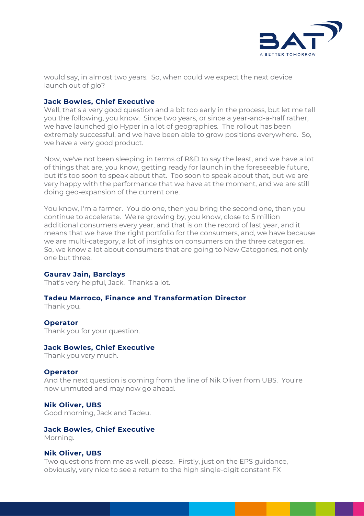

would say, in almost two years. So, when could we expect the next device launch out of glo?

## **Jack Bowles, Chief Executive**

Well, that's a very good question and a bit too early in the process, but let me tell you the following, you know. Since two years, or since a year-and-a-half rather, we have launched glo Hyper in a lot of geographies. The rollout has been extremely successful, and we have been able to grow positions everywhere. So, we have a very good product.

Now, we've not been sleeping in terms of R&D to say the least, and we have a lot of things that are, you know, getting ready for launch in the foreseeable future, but it's too soon to speak about that. Too soon to speak about that, but we are very happy with the performance that we have at the moment, and we are still doing geo-expansion of the current one.

You know, I'm a farmer. You do one, then you bring the second one, then you continue to accelerate. We're growing by, you know, close to 5 million additional consumers every year, and that is on the record of last year, and it means that we have the right portfolio for the consumers, and, we have because we are multi-category, a lot of insights on consumers on the three categories. So, we know a lot about consumers that are going to New Categories, not only one but three.

#### **Gaurav Jain, Barclays**

That's very helpful, Jack. Thanks a lot.

# **Tadeu Marroco, Finance and Transformation Director**

Thank you.

#### **Operator**

Thank you for your question.

#### **Jack Bowles, Chief Executive**

Thank you very much.

#### **Operator**

And the next question is coming from the line of Nik Oliver from UBS. You're now unmuted and may now go ahead.

# **Nik Oliver, UBS**

Good morning, Jack and Tadeu.

# **Jack Bowles, Chief Executive**

Morning.

#### **Nik Oliver, UBS**

Two questions from me as well, please. Firstly, just on the EPS guidance, obviously, very nice to see a return to the high single-digit constant FX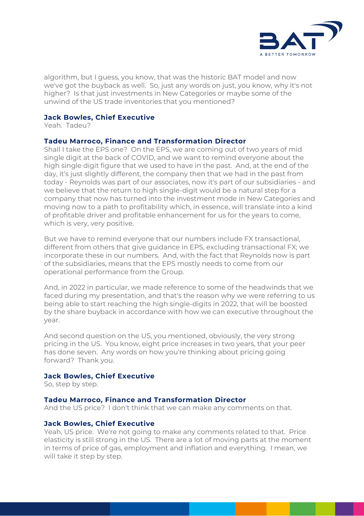

algorithm, but I guess, you know, that was the historic BAT model and now we've got the buyback as well. So, just any words on just, you know, why it's not higher? Is that just investments in New Categories or maybe some of the unwind of the US trade inventories that you mentioned?

## **Jack Bowles, Chief Executive**

Yeah. Tadeu?

## **Tadeu Marroco, Finance and Transformation Director**

Shall I take the EPS one? On the EPS, we are coming out of two years of mid single digit at the back of COVID, and we want to remind everyone about the high single digit figure that we used to have in the past. And, at the end of the day, it's just slightly different, the company then that we had in the past from today - Reynolds was part of our associates, now it's part of our subsidiaries - and we believe that the return to high single-digit would be a natural step for a company that now has turned into the investment mode in New Categories and moving now to a path to profitability which, in essence, will translate into a kind of profitable driver and profitable enhancement for us for the years to come, which is very, very positive.

But we have to remind everyone that our numbers include FX transactional, different from others that give guidance in EPS, excluding transactional FX; we incorporate these in our numbers. And, with the fact that Reynolds now is part of the subsidiaries, means that the EPS mostly needs to come from our operational performance from the Group.

And, in 2022 in particular, we made reference to some of the headwinds that we faced during my presentation, and that's the reason why we were referring to us being able to start reaching the high single-digits in 2022, that will be boosted by the share buyback in accordance with how we can executive throughout the year.

And second question on the US, you mentioned, obviously, the very strong pricing in the US. You know, eight price increases in two years, that your peer has done seven. Any words on how you're thinking about pricing going forward? Thank you.

#### **Jack Bowles, Chief Executive**

So, step by step.

# **Tadeu Marroco, Finance and Transformation Director**

And the US price? I don't think that we can make any comments on that.

#### **Jack Bowles, Chief Executive**

Yeah, US price. We're not going to make any comments related to that. Price elasticity is still strong in the US. There are a lot of moving parts at the moment in terms of price of gas, employment and inflation and everything. I mean, we will take it step by step.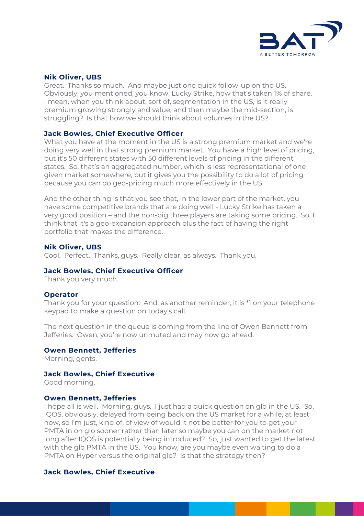

## **Nik Oliver, UBS**

Great. Thanks so much. And maybe just one quick follow-up on the US. Obviously, you mentioned, you know, Lucky Strike, how that's taken 1% of share. I mean, when you think about, sort of, segmentation in the US, is it really premium growing strongly and value, and then maybe the mid-section, is struggling? Is that how we should think about volumes in the US?

## **Jack Bowles, Chief Executive Officer**

What you have at the moment in the US is a strong premium market and we're doing very well in that strong premium market. You have a high level of pricing, but it's 50 different states with 50 different levels of pricing in the different states. So, that's an aggregated number, which is less representational of one given market somewhere, but it gives you the possibility to do a lot of pricing because you can do geo-pricing much more effectively in the US.

And the other thing is that you see that, in the lower part of the market, you have some competitive brands that are doing well - Lucky Strike has taken a very good position – and the non-big three players are taking some pricing. So, I think that it's a geo-expansion approach plus the fact of having the right portfolio that makes the difference.

#### **Nik Oliver, UBS**

Cool. Perfect. Thanks, guys. Really clear, as always. Thank you.

#### **Jack Bowles, Chief Executive Officer**

Thank you very much.

#### **Operator**

Thank you for your question. And, as another reminder, it is \*1 on your telephone keypad to make a question on today's call.

The next question in the queue is coming from the line of Owen Bennett from Jefferies. Owen, you're now unmuted and may now go ahead.

#### **Owen Bennett, Jefferies**

Morning, gents.

#### **Jack Bowles, Chief Executive**

Good morning.

#### **Owen Bennett, Jefferies**

I hope all is well. Morning, guys. I just had a quick question on glo in the US. So, IQOS, obviously, delayed from being back on the US market for a while, at least now, so I'm just, kind of, of view of would it not be better for you to get your PMTA in on glo sooner rather than later so maybe you can on the market not long after IQOS is potentially being introduced? So, just wanted to get the latest with the glo PMTA in the US. You know, are you maybe even waiting to do a PMTA on Hyper versus the original glo? Is that the strategy then?

#### **Jack Bowles, Chief Executive**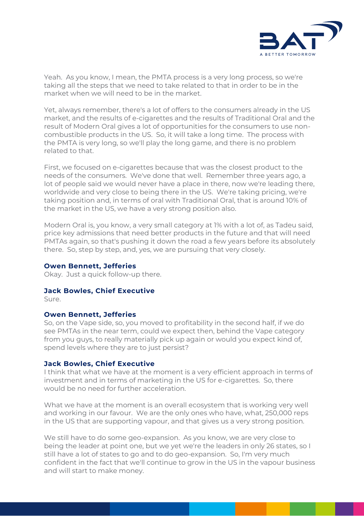

Yeah. As you know, I mean, the PMTA process is a very long process, so we're taking all the steps that we need to take related to that in order to be in the market when we will need to be in the market.

Yet, always remember, there's a lot of offers to the consumers already in the US market, and the results of e-cigarettes and the results of Traditional Oral and the result of Modern Oral gives a lot of opportunities for the consumers to use noncombustible products in the US. So, it will take a long time. The process with the PMTA is very long, so we'll play the long game, and there is no problem related to that.

First, we focused on e-cigarettes because that was the closest product to the needs of the consumers. We've done that well. Remember three years ago, a lot of people said we would never have a place in there, now we're leading there, worldwide and very close to being there in the US. We're taking pricing, we're taking position and, in terms of oral with Traditional Oral, that is around 10% of the market in the US, we have a very strong position also.

Modern Oral is, you know, a very small category at 1% with a lot of, as Tadeu said, price key admissions that need better products in the future and that will need PMTAs again, so that's pushing it down the road a few years before its absolutely there. So, step by step, and, yes, we are pursuing that very closely.

#### **Owen Bennett, Jefferies**

Okay. Just a quick follow-up there.

# **Jack Bowles, Chief Executive**

Sure.

#### **Owen Bennett, Jefferies**

So, on the Vape side, so, you moved to profitability in the second half, if we do see PMTAs in the near term, could we expect then, behind the Vape category from you guys, to really materially pick up again or would you expect kind of, spend levels where they are to just persist?

#### **Jack Bowles, Chief Executive**

I think that what we have at the moment is a very efficient approach in terms of investment and in terms of marketing in the US for e-cigarettes. So, there would be no need for further acceleration.

What we have at the moment is an overall ecosystem that is working very well and working in our favour. We are the only ones who have, what, 250,000 reps in the US that are supporting vapour, and that gives us a very strong position.

We still have to do some geo-expansion. As you know, we are very close to being the leader at point one, but we yet we're the leaders in only 26 states, so I still have a lot of states to go and to do geo-expansion. So, I'm very much confident in the fact that we'll continue to grow in the US in the vapour business and will start to make money.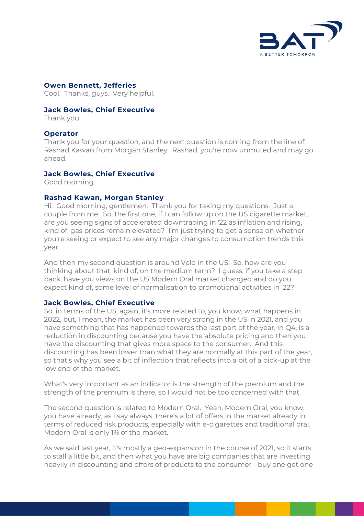

## **Owen Bennett, Jefferies**

Cool. Thanks, guys. Very helpful.

#### **Jack Bowles, Chief Executive**

Thank you.

#### **Operator**

Thank you for your question, and the next question is coming from the line of Rashad Kawan from Morgan Stanley. Rashad, you're now unmuted and may go ahead.

#### **Jack Bowles, Chief Executive**

Good morning.

#### **Rashad Kawan, Morgan Stanley**

Hi. Good morning, gentlemen. Thank you for taking my questions. Just a couple from me. So, the first one, if I can follow up on the US cigarette market, are you seeing signs of accelerated downtrading in '22 as inflation and rising, kind of, gas prices remain elevated? I'm just trying to get a sense on whether you're seeing or expect to see any major changes to consumption trends this year.

And then my second question is around Velo in the US. So, how are you thinking about that, kind of, on the medium term? I guess, if you take a step back, have you views on the US Modern Oral market changed and do you expect kind of, some level of normalisation to promotional activities in '22?

#### **Jack Bowles, Chief Executive**

So, in terms of the US, again, it's more related to, you know, what happens in 2022, but, I mean, the market has been very strong in the US in 2021, and you have something that has happened towards the last part of the year, in Q4, is a reduction in discounting because you have the absolute pricing and then you have the discounting that gives more space to the consumer. And this discounting has been lower than what they are normally at this part of the year, so that's why you see a bit of inflection that reflects into a bit of a pick-up at the low end of the market.

What's very important as an indicator is the strength of the premium and the strength of the premium is there, so I would not be too concerned with that.

The second question is related to Modern Oral. Yeah, Modern Oral, you know, you have already, as I say always, there's a lot of offers in the market already in terms of reduced risk products, especially with e-cigarettes and traditional oral. Modern Oral is only 1% of the market.

As we said last year, it's mostly a geo-expansion in the course of 2021, so it starts to stall a little bit, and then what you have are big companies that are investing heavily in discounting and offers of products to the consumer - buy one get one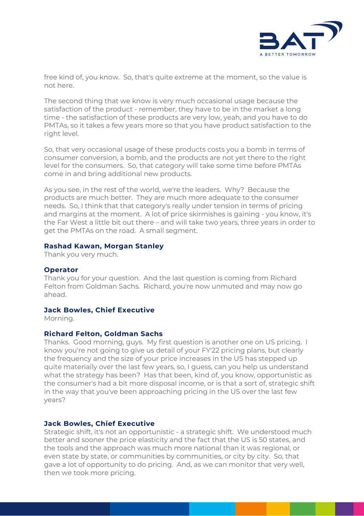

free kind of, you know. So, that's quite extreme at the moment, so the value is not here.

The second thing that we know is very much occasional usage because the satisfaction of the product - remember, they have to be in the market a long time - the satisfaction of these products are very low, yeah, and you have to do PMTAs, so it takes a few years more so that you have product satisfaction to the right level.

So, that very occasional usage of these products costs you a bomb in terms of consumer conversion, a bomb, and the products are not yet there to the right level for the consumers. So, that category will take some time before PMTAs come in and bring additional new products.

As you see, in the rest of the world, we're the leaders. Why? Because the products are much better. They are much more adequate to the consumer needs. So, I think that that category's really under tension in terms of pricing and margins at the moment. A lot of price skirmishes is gaining - you know, it's the Far West a little bit out there – and will take two years, three years in order to get the PMTAs on the road. A small segment.

#### **Rashad Kawan, Morgan Stanley**

Thank you very much.

#### **Operator**

Thank you for your question. And the last question is coming from Richard Felton from Goldman Sachs. Richard, you're now unmuted and may now go ahead.

#### **Jack Bowles, Chief Executive**

Morning.

#### **Richard Felton, Goldman Sachs**

Thanks. Good morning, guys. My first question is another one on US pricing. I know you're not going to give us detail of your FY'22 pricing plans, but clearly the frequency and the size of your price increases in the US has stepped up quite materially over the last few years, so, I guess, can you help us understand what the strategy has been? Has that been, kind of, you know, opportunistic as the consumer's had a bit more disposal income, or is that a sort of, strategic shift in the way that you've been approaching pricing in the US over the last few years?

#### **Jack Bowles, Chief Executive**

Strategic shift, it's not an opportunistic - a strategic shift. We understood much better and sooner the price elasticity and the fact that the US is 50 states, and the tools and the approach was much more national than it was regional, or even state by state, or communities by communities, or city by city. So, that gave a lot of opportunity to do pricing. And, as we can monitor that very well, then we took more pricing.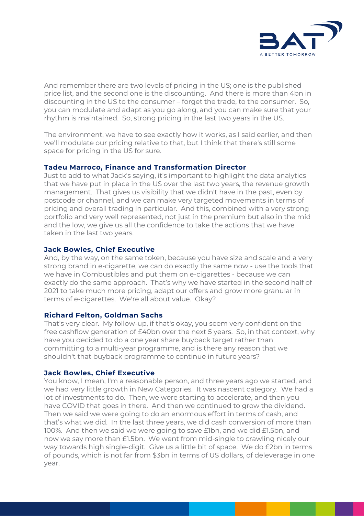

And remember there are two levels of pricing in the US; one is the published price list, and the second one is the discounting. And there is more than 4bn in discounting in the US to the consumer – forget the trade, to the consumer. So, you can modulate and adapt as you go along, and you can make sure that your rhythm is maintained. So, strong pricing in the last two years in the US.

The environment, we have to see exactly how it works, as I said earlier, and then we'll modulate our pricing relative to that, but I think that there's still some space for pricing in the US for sure.

## **Tadeu Marroco, Finance and Transformation Director**

Just to add to what Jack's saying, it's important to highlight the data analytics that we have put in place in the US over the last two years, the revenue growth management. That gives us visibility that we didn't have in the past, even by postcode or channel, and we can make very targeted movements in terms of pricing and overall trading in particular. And this, combined with a very strong portfolio and very well represented, not just in the premium but also in the mid and the low, we give us all the confidence to take the actions that we have taken in the last two years.

#### **Jack Bowles, Chief Executive**

And, by the way, on the same token, because you have size and scale and a very strong brand in e-cigarette, we can do exactly the same now - use the tools that we have in Combustibles and put them on e-cigarettes - because we can exactly do the same approach. That's why we have started in the second half of 2021 to take much more pricing, adapt our offers and grow more granular in terms of e-cigarettes. We're all about value. Okay?

#### **Richard Felton, Goldman Sachs**

That's very clear. My follow-up, if that's okay, you seem very confident on the free cashflow generation of £40bn over the next 5 years. So, in that context, why have you decided to do a one year share buyback target rather than committing to a multi-year programme, and is there any reason that we shouldn't that buyback programme to continue in future years?

# **Jack Bowles, Chief Executive**

You know, I mean, I'm a reasonable person, and three years ago we started, and we had very little growth in New Categories. It was nascent category. We had a lot of investments to do. Then, we were starting to accelerate, and then you have COVID that goes in there. And then we continued to grow the dividend. Then we said we were going to do an enormous effort in terms of cash, and that's what we did. In the last three years, we did cash conversion of more than 100%. And then we said we were going to save £1bn, and we did £1.5bn, and now we say more than £1.5bn. We went from mid-single to crawling nicely our way towards high single-digit. Give us a little bit of space. We do £2bn in terms of pounds, which is not far from \$3bn in terms of US dollars, of deleverage in one year.